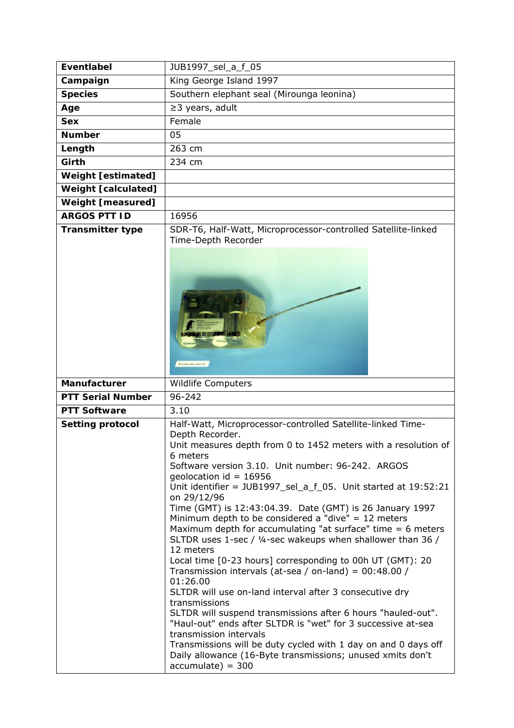| <b>Eventlabel</b>          | JUB1997 sel a f 05                                                                                                                                                                                                                                                                                                                                                                                                                                                                                                                                                                                                                                                                                                                                                                                                                                                                                                                                                          |
|----------------------------|-----------------------------------------------------------------------------------------------------------------------------------------------------------------------------------------------------------------------------------------------------------------------------------------------------------------------------------------------------------------------------------------------------------------------------------------------------------------------------------------------------------------------------------------------------------------------------------------------------------------------------------------------------------------------------------------------------------------------------------------------------------------------------------------------------------------------------------------------------------------------------------------------------------------------------------------------------------------------------|
| Campaign                   | King George Island 1997                                                                                                                                                                                                                                                                                                                                                                                                                                                                                                                                                                                                                                                                                                                                                                                                                                                                                                                                                     |
| <b>Species</b>             | Southern elephant seal (Mirounga leonina)                                                                                                                                                                                                                                                                                                                                                                                                                                                                                                                                                                                                                                                                                                                                                                                                                                                                                                                                   |
| Age                        | $\geq$ 3 years, adult                                                                                                                                                                                                                                                                                                                                                                                                                                                                                                                                                                                                                                                                                                                                                                                                                                                                                                                                                       |
| <b>Sex</b>                 | Female                                                                                                                                                                                                                                                                                                                                                                                                                                                                                                                                                                                                                                                                                                                                                                                                                                                                                                                                                                      |
| <b>Number</b>              | 05                                                                                                                                                                                                                                                                                                                                                                                                                                                                                                                                                                                                                                                                                                                                                                                                                                                                                                                                                                          |
| Length                     | 263 cm                                                                                                                                                                                                                                                                                                                                                                                                                                                                                                                                                                                                                                                                                                                                                                                                                                                                                                                                                                      |
| Girth                      | 234 cm                                                                                                                                                                                                                                                                                                                                                                                                                                                                                                                                                                                                                                                                                                                                                                                                                                                                                                                                                                      |
| <b>Weight [estimated]</b>  |                                                                                                                                                                                                                                                                                                                                                                                                                                                                                                                                                                                                                                                                                                                                                                                                                                                                                                                                                                             |
| <b>Weight [calculated]</b> |                                                                                                                                                                                                                                                                                                                                                                                                                                                                                                                                                                                                                                                                                                                                                                                                                                                                                                                                                                             |
| <b>Weight [measured]</b>   |                                                                                                                                                                                                                                                                                                                                                                                                                                                                                                                                                                                                                                                                                                                                                                                                                                                                                                                                                                             |
| <b>ARGOS PTT ID</b>        | 16956                                                                                                                                                                                                                                                                                                                                                                                                                                                                                                                                                                                                                                                                                                                                                                                                                                                                                                                                                                       |
| <b>Transmitter type</b>    | SDR-T6, Half-Watt, Microprocessor-controlled Satellite-linked<br>Time-Depth Recorder                                                                                                                                                                                                                                                                                                                                                                                                                                                                                                                                                                                                                                                                                                                                                                                                                                                                                        |
|                            | $\begin{array}{ccccccccccccc}\n1 & 1 & 1 & 1 & 1\n\end{array}$                                                                                                                                                                                                                                                                                                                                                                                                                                                                                                                                                                                                                                                                                                                                                                                                                                                                                                              |
| Manufacturer               | <b>Wildlife Computers</b>                                                                                                                                                                                                                                                                                                                                                                                                                                                                                                                                                                                                                                                                                                                                                                                                                                                                                                                                                   |
| <b>PTT Serial Number</b>   | 96-242                                                                                                                                                                                                                                                                                                                                                                                                                                                                                                                                                                                                                                                                                                                                                                                                                                                                                                                                                                      |
| <b>PTT Software</b>        | 3.10                                                                                                                                                                                                                                                                                                                                                                                                                                                                                                                                                                                                                                                                                                                                                                                                                                                                                                                                                                        |
| <b>Setting protocol</b>    | Half-Watt, Microprocessor-controlled Satellite-linked Time-<br>Depth Recorder.<br>Unit measures depth from 0 to 1452 meters with a resolution of<br>6 meters<br>Software version 3.10. Unit number: 96-242. ARGOS<br>geolocation $id = 16956$<br>Unit identifier = JUB1997_sel_a_f_05. Unit started at 19:52:21<br>on 29/12/96<br>Time (GMT) is 12:43:04.39. Date (GMT) is 26 January 1997<br>Minimum depth to be considered a "dive" $= 12$ meters<br>Maximum depth for accumulating "at surface" time $= 6$ meters<br>SLTDR uses 1-sec / 1/4-sec wakeups when shallower than 36 /<br>12 meters<br>Local time [0-23 hours] corresponding to 00h UT (GMT): 20<br>Transmission intervals (at-sea / on-land) = $00:48.00$ /<br>01:26.00<br>SLTDR will use on-land interval after 3 consecutive dry<br>transmissions<br>SLTDR will suspend transmissions after 6 hours "hauled-out".<br>"Haul-out" ends after SLTDR is "wet" for 3 successive at-sea<br>transmission intervals |